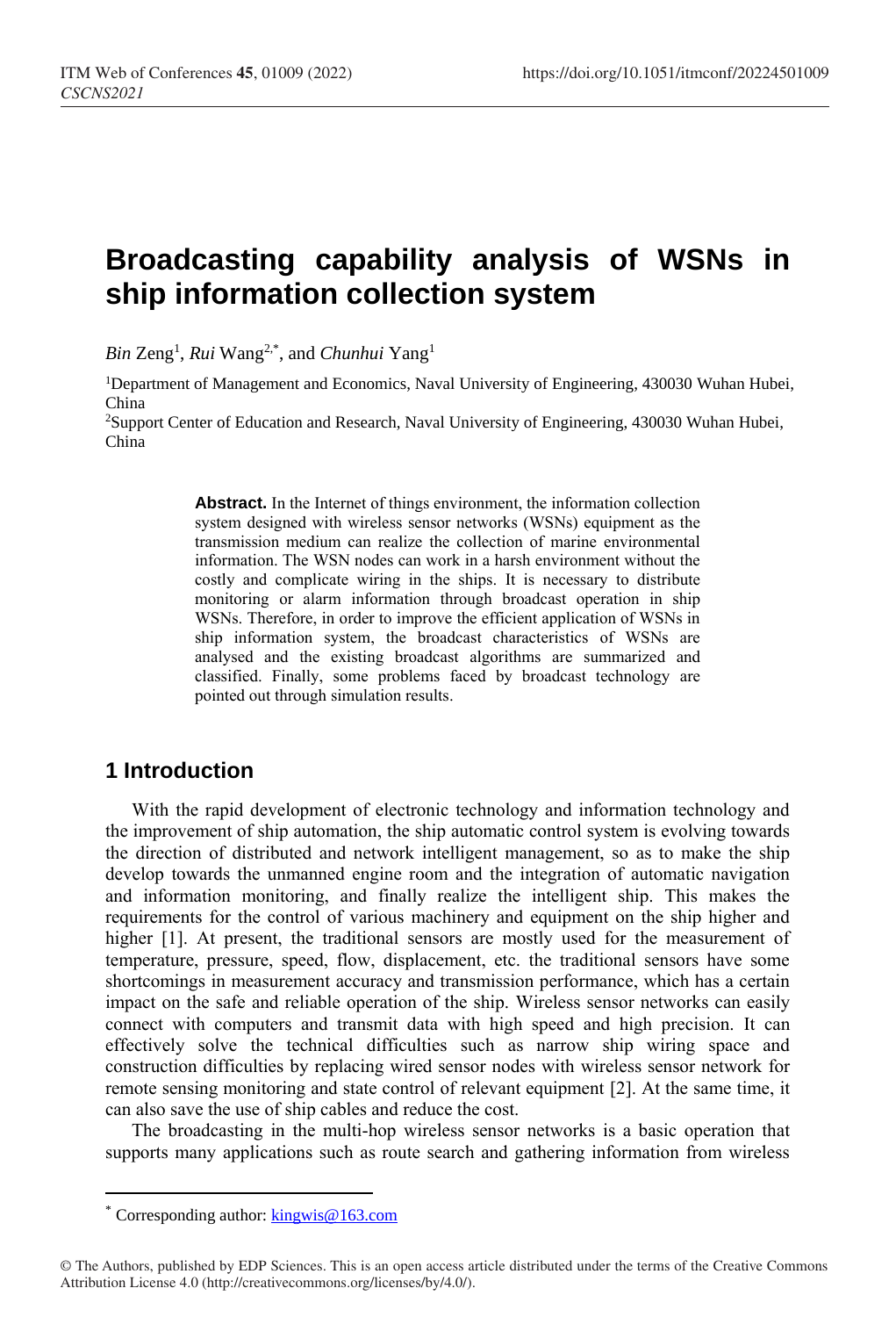# **Broadcasting capability analysis of WSNs in ship information collection system**

*Bin* Zeng<sup>1</sup> , *Rui* Wang2,\* , and *Chunhui* Yang<sup>1</sup>

<sup>1</sup>Department of Management and Economics, Naval University of Engineering, 430030 Wuhan Hubei, China

<sup>2</sup>Support Center of Education and Research, Naval University of Engineering, 430030 Wuhan Hubei, China

> **Abstract.** In the Internet of things environment, the information collection system designed with wireless sensor networks (WSNs) equipment as the transmission medium can realize the collection of marine environmental information. The WSN nodes can work in a harsh environment without the costly and complicate wiring in the ships. It is necessary to distribute monitoring or alarm information through broadcast operation in ship WSNs. Therefore, in order to improve the efficient application of WSNs in ship information system, the broadcast characteristics of WSNs are analysed and the existing broadcast algorithms are summarized and classified. Finally, some problems faced by broadcast technology are pointed out through simulation results.

# **1 Introduction**

With the rapid development of electronic technology and information technology and the improvement of ship automation, the ship automatic control system is evolving towards the direction of distributed and network intelligent management, so as to make the ship develop towards the unmanned engine room and the integration of automatic navigation and information monitoring, and finally realize the intelligent ship. This makes the requirements for the control of various machinery and equipment on the ship higher and higher [1]. At present, the traditional sensors are mostly used for the measurement of temperature, pressure, speed, flow, displacement, etc. the traditional sensors have some shortcomings in measurement accuracy and transmission performance, which has a certain impact on the safe and reliable operation of the ship. Wireless sensor networks can easily connect with computers and transmit data with high speed and high precision. It can effectively solve the technical difficulties such as narrow ship wiring space and construction difficulties by replacing wired sensor nodes with wireless sensor network for remote sensing monitoring and state control of relevant equipment [2]. At the same time, it can also save the use of ship cables and reduce the cost.

The broadcasting in the multi-hop wireless sensor networks is a basic operation that supports many applications such as route search and gathering information from wireless

 $\overline{a}$ 

<sup>\*</sup> Corresponding author: [kingwis@163.com](mailto:kingwis@163.com)

<sup>©</sup> The Authors, published by EDP Sciences. This is an open access article distributed under the terms of the Creative Commons Attribution License 4.0 (http://creativecommons.org/licenses/by/4.0/).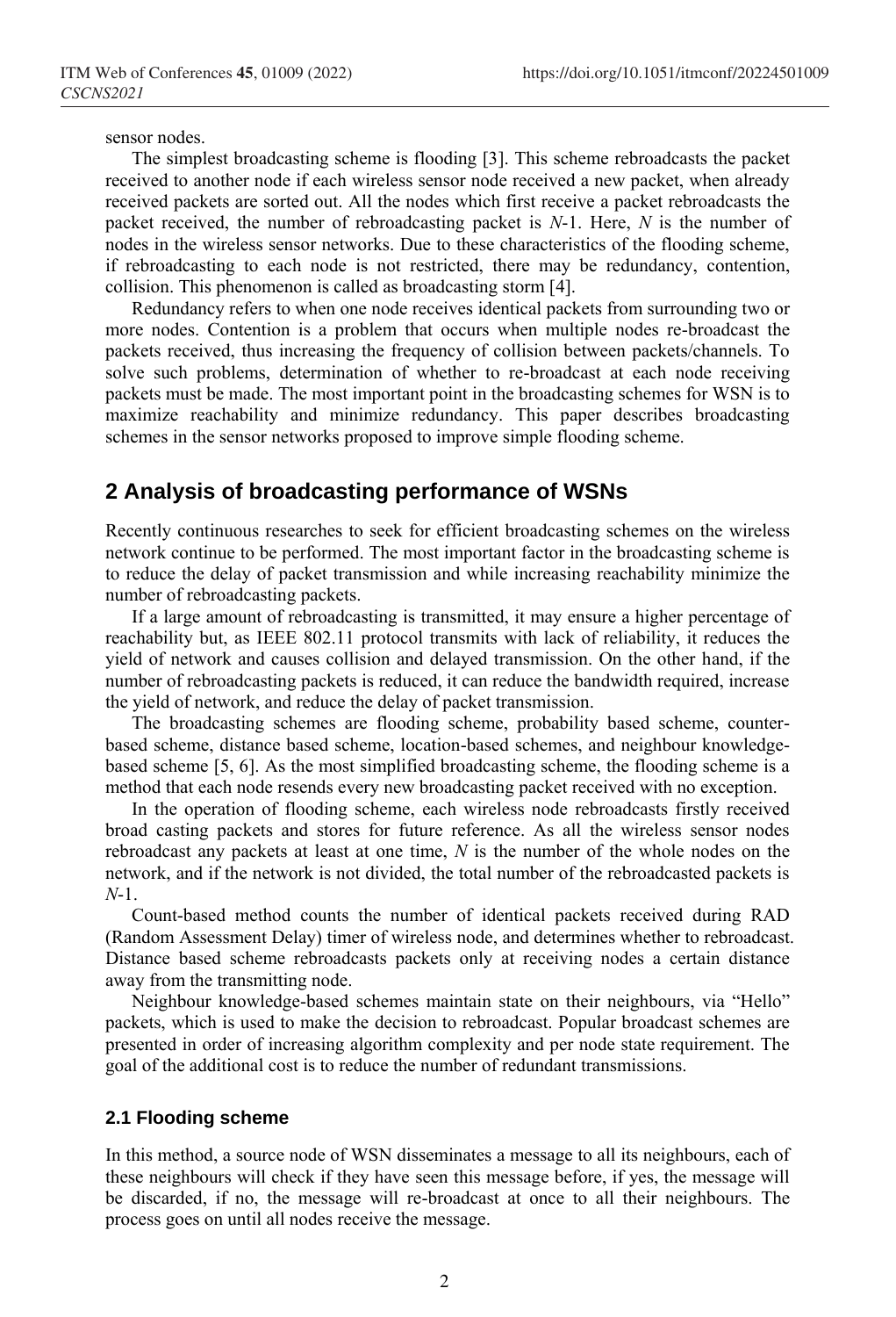sensor nodes.

The simplest broadcasting scheme is flooding [3]. This scheme rebroadcasts the packet received to another node if each wireless sensor node received a new packet, when already received packets are sorted out. All the nodes which first receive a packet rebroadcasts the packet received, the number of rebroadcasting packet is *N*-1. Here, *N* is the number of nodes in the wireless sensor networks. Due to these characteristics of the flooding scheme, if rebroadcasting to each node is not restricted, there may be redundancy, contention, collision. This phenomenon is called as broadcasting storm [4].

Redundancy refers to when one node receives identical packets from surrounding two or more nodes. Contention is a problem that occurs when multiple nodes re-broadcast the packets received, thus increasing the frequency of collision between packets/channels. To solve such problems, determination of whether to re-broadcast at each node receiving packets must be made. The most important point in the broadcasting schemes for WSN is to maximize reachability and minimize redundancy. This paper describes broadcasting schemes in the sensor networks proposed to improve simple flooding scheme.

### **2 Analysis of broadcasting performance of WSNs**

Recently continuous researches to seek for efficient broadcasting schemes on the wireless network continue to be performed. The most important factor in the broadcasting scheme is to reduce the delay of packet transmission and while increasing reachability minimize the number of rebroadcasting packets.

If a large amount of rebroadcasting is transmitted, it may ensure a higher percentage of reachability but, as IEEE 802.11 protocol transmits with lack of reliability, it reduces the yield of network and causes collision and delayed transmission. On the other hand, if the number of rebroadcasting packets is reduced, it can reduce the bandwidth required, increase the yield of network, and reduce the delay of packet transmission.

The broadcasting schemes are flooding scheme, probability based scheme, counterbased scheme, distance based scheme, location-based schemes, and neighbour knowledgebased scheme [5, 6]. As the most simplified broadcasting scheme, the flooding scheme is a method that each node resends every new broadcasting packet received with no exception.

In the operation of flooding scheme, each wireless node rebroadcasts firstly received broad casting packets and stores for future reference. As all the wireless sensor nodes rebroadcast any packets at least at one time, *N* is the number of the whole nodes on the network, and if the network is not divided, the total number of the rebroadcasted packets is *N*-1.

Count-based method counts the number of identical packets received during RAD (Random Assessment Delay) timer of wireless node, and determines whether to rebroadcast. Distance based scheme rebroadcasts packets only at receiving nodes a certain distance away from the transmitting node.

Neighbour knowledge-based schemes maintain state on their neighbours, via "Hello" packets, which is used to make the decision to rebroadcast. Popular broadcast schemes are presented in order of increasing algorithm complexity and per node state requirement. The goal of the additional cost is to reduce the number of redundant transmissions.

#### **2.1 Flooding scheme**

In this method, a source node of WSN disseminates a message to all its neighbours, each of these neighbours will check if they have seen this message before, if yes, the message will be discarded, if no, the message will re-broadcast at once to all their neighbours. The process goes on until all nodes receive the message.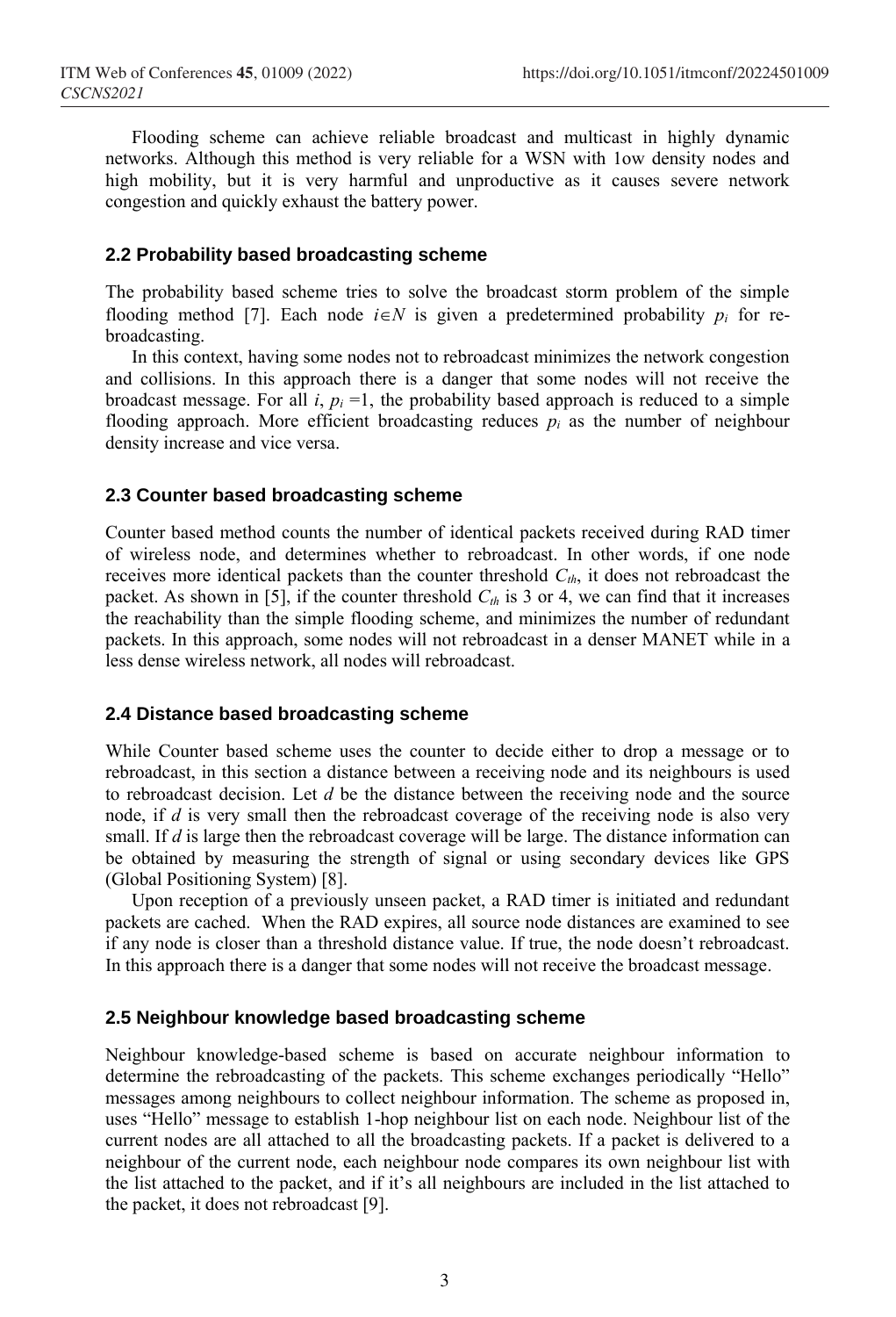Flooding scheme can achieve reliable broadcast and multicast in highly dynamic networks. Although this method is very reliable for a WSN with 1ow density nodes and high mobility, but it is very harmful and unproductive as it causes severe network congestion and quickly exhaust the battery power.

#### **2.2 Probability based broadcasting scheme**

The probability based scheme tries to solve the broadcast storm problem of the simple flooding method [7]. Each node  $i \in N$  is given a predetermined probability  $p_i$  for rebroadcasting.

In this context, having some nodes not to rebroadcast minimizes the network congestion and collisions. In this approach there is a danger that some nodes will not receive the broadcast message. For all  $i$ ,  $p_i = 1$ , the probability based approach is reduced to a simple flooding approach. More efficient broadcasting reduces  $p_i$  as the number of neighbour density increase and vice versa.

#### **2.3 Counter based broadcasting scheme**

Counter based method counts the number of identical packets received during RAD timer of wireless node, and determines whether to rebroadcast. In other words, if one node receives more identical packets than the counter threshold  $C_{th}$ , it does not rebroadcast the packet. As shown in [5], if the counter threshold *Cth* is 3 or 4, we can find that it increases the reachability than the simple flooding scheme, and minimizes the number of redundant packets. In this approach, some nodes will not rebroadcast in a denser MANET while in a less dense wireless network, all nodes will rebroadcast.

#### **2.4 Distance based broadcasting scheme**

While Counter based scheme uses the counter to decide either to drop a message or to rebroadcast, in this section a distance between a receiving node and its neighbours is used to rebroadcast decision. Let *d* be the distance between the receiving node and the source node, if *d* is very small then the rebroadcast coverage of the receiving node is also very small. If  $d$  is large then the rebroadcast coverage will be large. The distance information can be obtained by measuring the strength of signal or using secondary devices like GPS (Global Positioning System) [8].

Upon reception of a previously unseen packet, a RAD timer is initiated and redundant packets are cached. When the RAD expires, all source node distances are examined to see if any node is closer than a threshold distance value. If true, the node doesn't rebroadcast. In this approach there is a danger that some nodes will not receive the broadcast message.

#### **2.5 Neighbour knowledge based broadcasting scheme**

Neighbour knowledge-based scheme is based on accurate neighbour information to determine the rebroadcasting of the packets. This scheme exchanges periodically "Hello" messages among neighbours to collect neighbour information. The scheme as proposed in, uses "Hello" message to establish 1-hop neighbour list on each node. Neighbour list of the current nodes are all attached to all the broadcasting packets. If a packet is delivered to a neighbour of the current node, each neighbour node compares its own neighbour list with the list attached to the packet, and if it's all neighbours are included in the list attached to the packet, it does not rebroadcast [9].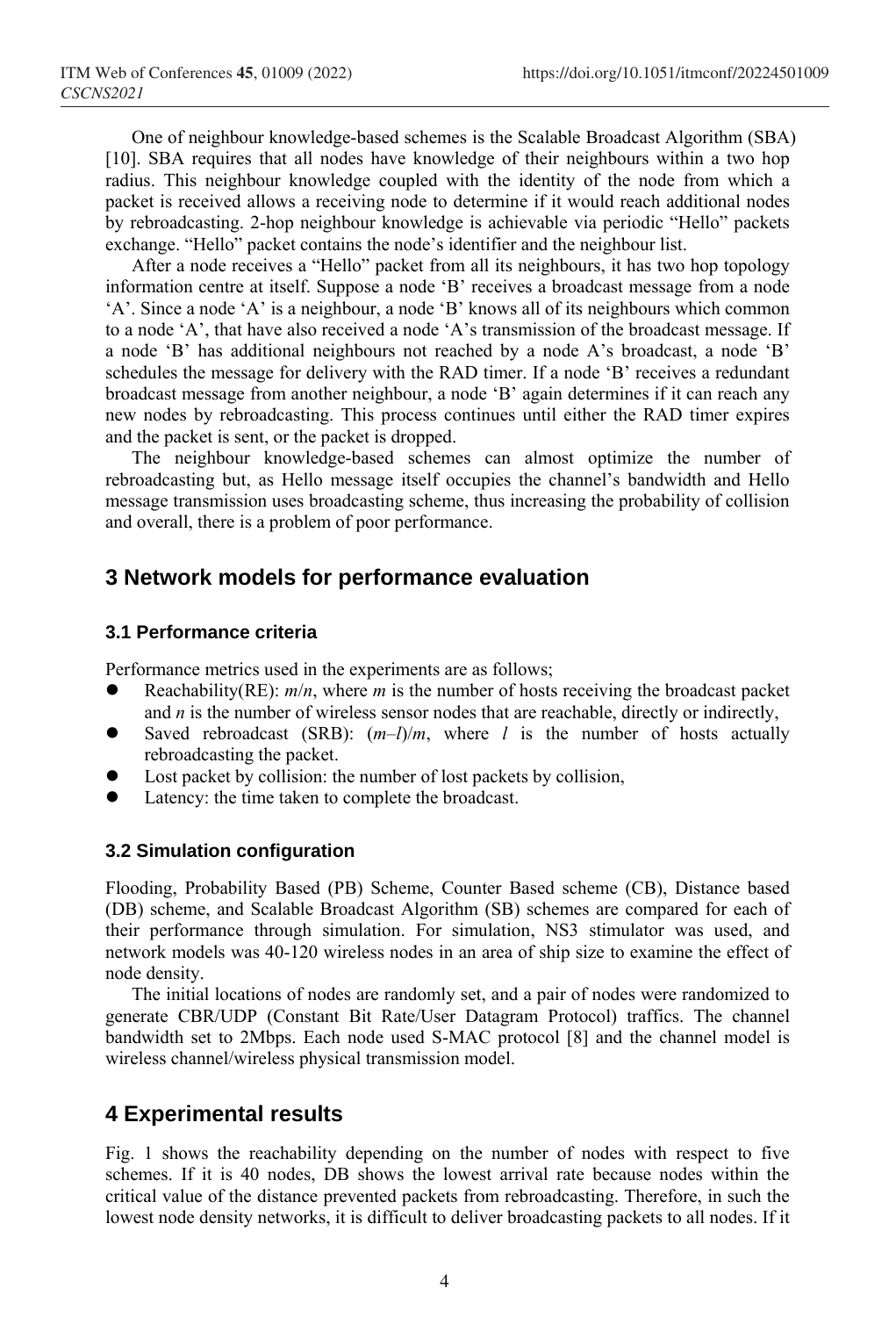One of neighbour knowledge-based schemes is the Scalable Broadcast Algorithm (SBA) [10]. SBA requires that all nodes have knowledge of their neighbours within a two hop radius. This neighbour knowledge coupled with the identity of the node from which a packet is received allows a receiving node to determine if it would reach additional nodes by rebroadcasting. 2-hop neighbour knowledge is achievable via periodic "Hello" packets exchange. "Hello" packet contains the node's identifier and the neighbour list.

After a node receives a "Hello" packet from all its neighbours, it has two hop topology information centre at itself. Suppose a node 'B' receives a broadcast message from a node 'A'. Since a node 'A' is a neighbour, a node 'B' knows all of its neighbours which common to a node 'A', that have also received a node 'A's transmission of the broadcast message. If a node 'B' has additional neighbours not reached by a node A's broadcast, a node 'B' schedules the message for delivery with the RAD timer. If a node 'B' receives a redundant broadcast message from another neighbour, a node 'B' again determines if it can reach any new nodes by rebroadcasting. This process continues until either the RAD timer expires and the packet is sent, or the packet is dropped.

The neighbour knowledge-based schemes can almost optimize the number of rebroadcasting but, as Hello message itself occupies the channel's bandwidth and Hello message transmission uses broadcasting scheme, thus increasing the probability of collision and overall, there is a problem of poor performance.

### **3 Network models for performance evaluation**

#### **3.1 Performance criteria**

Performance metrics used in the experiments are as follows;

- Reachability(RE):  $m/n$ , where *m* is the number of hosts receiving the broadcast packet and *n* is the number of wireless sensor nodes that are reachable, directly or indirectly,
- Saved rebroadcast (SRB):  $(m-1)/m$ , where *l* is the number of hosts actually rebroadcasting the packet.
- Lost packet by collision: the number of lost packets by collision,
- Latency: the time taken to complete the broadcast.

#### **3.2 Simulation configuration**

Flooding, Probability Based (PB) Scheme, Counter Based scheme (CB), Distance based (DB) scheme, and Scalable Broadcast Algorithm (SB) schemes are compared for each of their performance through simulation. For simulation, NS3 stimulator was used, and network models was 40-120 wireless nodes in an area of ship size to examine the effect of node density.

The initial locations of nodes are randomly set, and a pair of nodes were randomized to generate CBR/UDP (Constant Bit Rate/User Datagram Protocol) traffics. The channel bandwidth set to 2Mbps. Each node used S-MAC protocol [8] and the channel model is wireless channel/wireless physical transmission model.

# **4 Experimental results**

Fig. 1 shows the reachability depending on the number of nodes with respect to five schemes. If it is 40 nodes, DB shows the lowest arrival rate because nodes within the critical value of the distance prevented packets from rebroadcasting. Therefore, in such the lowest node density networks, it is difficult to deliver broadcasting packets to all nodes. If it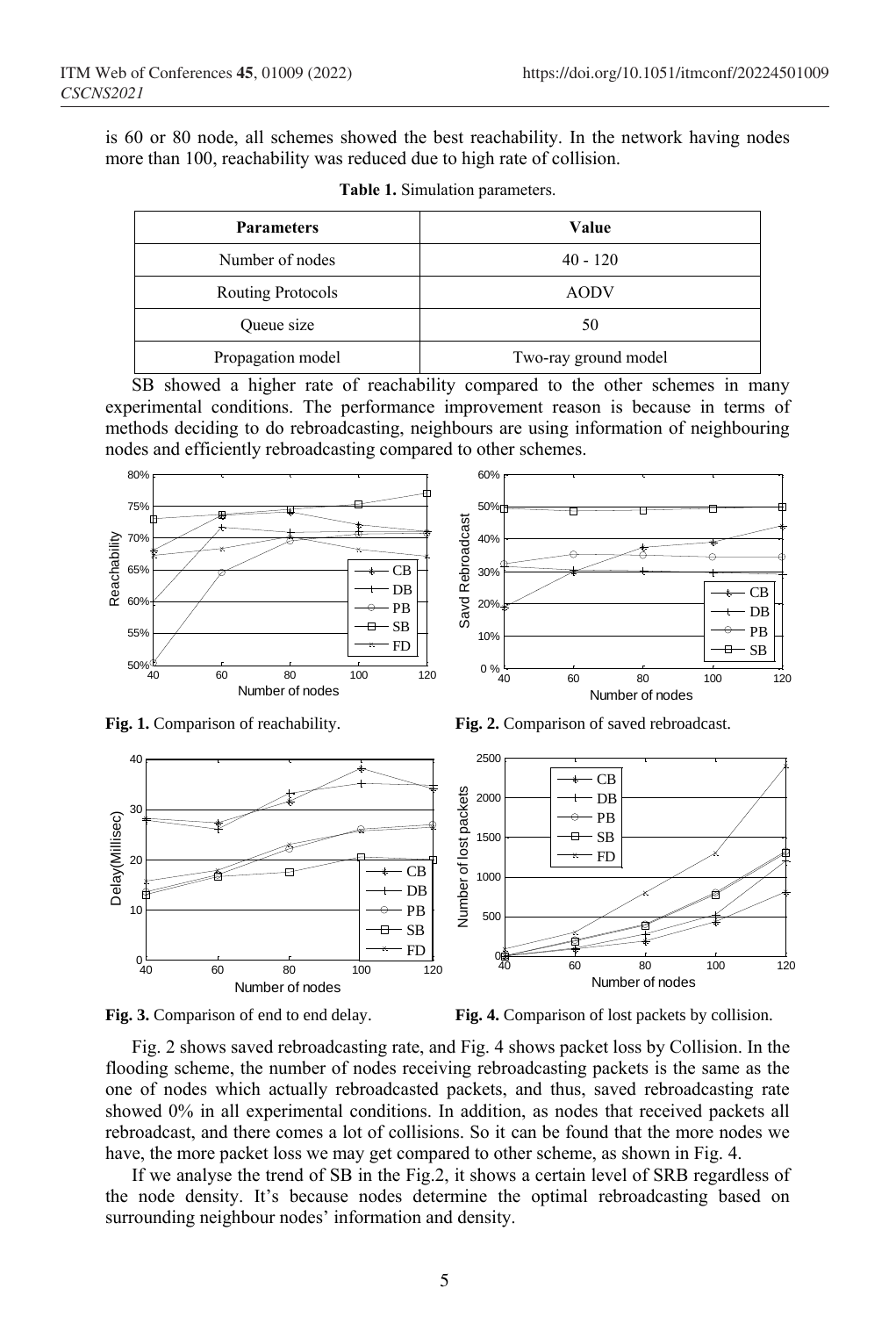is 60 or 80 node, all schemes showed the best reachability. In the network having nodes more than 100, reachability was reduced due to high rate of collision.

| <b>Parameters</b> | Value                |
|-------------------|----------------------|
| Number of nodes   | $40 - 120$           |
| Routing Protocols | <b>AODV</b>          |
| Queue size        | 50                   |
| Propagation model | Two-ray ground model |

**Table 1.** Simulation parameters.

SB showed a higher rate of reachability compared to the other schemes in many experimental conditions. The performance improvement reason is because in terms of methods deciding to do rebroadcasting, neighbours are using information of neighbouring nodes and efficiently rebroadcasting compared to other schemes.



**Fig. 1.** Comparison of reachability. **Fig. 2.** Comparison of saved rebroadcast.





**Fig. 3.** Comparison of end to end delay. **Fig. 4.** Comparison of lost packets by collision.

Fig. 2 shows saved rebroadcasting rate, and Fig. 4 shows packet loss by Collision. In the flooding scheme, the number of nodes receiving rebroadcasting packets is the same as the one of nodes which actually rebroadcasted packets, and thus, saved rebroadcasting rate showed 0% in all experimental conditions. In addition, as nodes that received packets all rebroadcast, and there comes a lot of collisions. So it can be found that the more nodes we have, the more packet loss we may get compared to other scheme, as shown in Fig. 4.

If we analyse the trend of SB in the Fig.2, it shows a certain level of SRB regardless of the node density. It's because nodes determine the optimal rebroadcasting based on surrounding neighbour nodes' information and density.